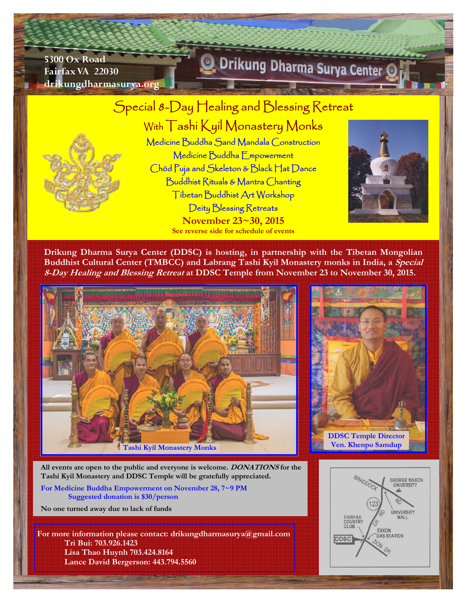**5300 Ox Road Fairfax VA 22030 drikungdharmasurya.org** 

# Drikung Dharma Surya Center

# Special 8-Day Healing and Blessing Retreat With Tashi Kyil Monastery Monks

Medicine Buddha Sand Mandala Construction Medicine Buddha Empowerment Chöd Puja and Skeleton & Black Hat Dance Buddhist Rituals & Mantra Chanting Tibetan Buddhist Art Workshop Deity Blessing Retreats **November 23~30, 2015 See reverse side for schedule of events** 



**Drikung Dharma Surya Center (DDSC) is hosting, in partnership with the Tibetan Mongolian Buddhist Cultural Center (TMBCC) and Labrang Tashi Kyil Monastery monks in India, a Special 8-Day Healing and Blessing Retreat at DDSC Temple from November 23 to November 30, 2015.** 





**All events are open to the public and everyone is welcome. DONATIONS for the Tashi Kyil Monastery and DDSC Temple will be gratefully appreciated.** 

**For Medicine Buddha Empowerment on November 28, 7~9 PM Suggested donation is \$30/person** 

**No one turned away due to lack of funds** 

**For more information please contact: drikungdharmasurya@gmail.com Tri Bui: 703.926.1423 Lisa Thao Huynh 703.424.8164 Lance David Bergerson: 443.794.5560**